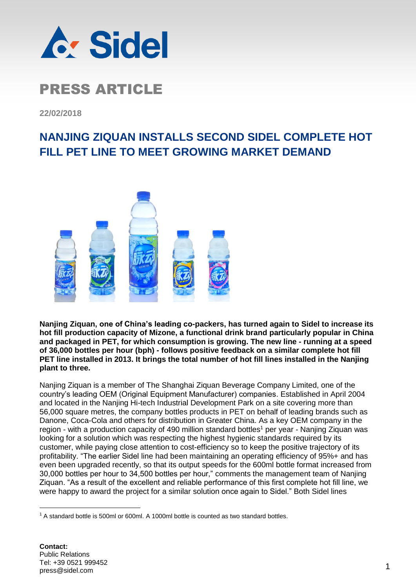

**22/02/2018**

#### **NANJING ZIQUAN INSTALLS SECOND SIDEL COMPLETE HOT FILL PET LINE TO MEET GROWING MARKET DEMAND**



**Nanjing Ziquan, one of China's leading co-packers, has turned again to Sidel to increase its hot fill production capacity of Mizone, a functional drink brand particularly popular in China and packaged in PET, for which consumption is growing. The new line - running at a speed of 36,000 bottles per hour (bph) - follows positive feedback on a similar complete hot fill PET line installed in 2013. It brings the total number of hot fill lines installed in the Nanjing plant to three.** 

Nanjing Ziquan is a member of The Shanghai Ziquan Beverage Company Limited, one of the country's leading OEM (Original Equipment Manufacturer) companies. Established in April 2004 and located in the Nanjing Hi-tech Industrial Development Park on a site covering more than 56,000 square metres, the company bottles products in PET on behalf of leading brands such as Danone, Coca-Cola and others for distribution in Greater China. As a key OEM company in the region - with a production capacity of 490 million standard bottles<sup>1</sup> per year - Nanjing Ziquan was looking for a solution which was respecting the highest hygienic standards required by its customer, while paying close attention to cost-efficiency so to keep the positive trajectory of its profitability. "The earlier Sidel line had been maintaining an operating efficiency of 95%+ and has even been upgraded recently, so that its output speeds for the 600ml bottle format increased from 30,000 bottles per hour to 34,500 bottles per hour," comments the management team of Nanjing Ziquan. "As a result of the excellent and reliable performance of this first complete hot fill line, we were happy to award the project for a similar solution once again to Sidel." Both Sidel lines

1

<sup>&</sup>lt;sup>1</sup> A standard bottle is 500ml or 600ml. A 1000ml bottle is counted as two standard bottles.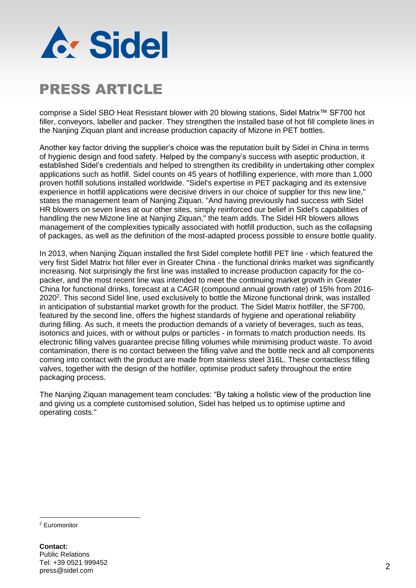

comprise a Sidel SBO Heat Resistant blower with 20 blowing stations, Sidel Matrix™ SF700 hot filler, conveyors, labeller and packer. They strengthen the installed base of hot fill complete lines in the Nanjing Ziquan plant and increase production capacity of Mizone in PET bottles.

Another key factor driving the supplier's choice was the reputation built by Sidel in China in terms of hygienic design and food safety. Helped by the company's success with aseptic production, it established Sidel's credentials and helped to strengthen its credibility in undertaking other complex applications such as hotfill. Sidel counts on 45 years of hotfilling experience, with more than 1,000 proven hotfill solutions installed worldwide. "Sidel's expertise in PET packaging and its extensive experience in hotfill applications were decisive drivers in our choice of supplier for this new line," states the management team of Nanjing Ziquan. "And having previously had success with Sidel HR blowers on seven lines at our other sites, simply reinforced our belief in Sidel's capabilities of handling the new Mizone line at Nanjing Ziquan," the team adds. The Sidel HR blowers allows management of the complexities typically associated with hotfill production, such as the collapsing of packages, as well as the definition of the most-adapted process possible to ensure bottle quality.

In 2013, when Nanjing Ziquan installed the first Sidel complete hotfill PET line - which featured the very first Sidel Matrix hot filler ever in Greater China - the functional drinks market was significantly increasing. Not surprisingly the first line was installed to increase production capacity for the copacker, and the most recent line was intended to meet the continuing market growth in Greater China for functional drinks, forecast at a CAGR (compound annual growth rate) of 15% from 2016- 2020<sup>2</sup>. This second Sidel line, used exclusively to bottle the Mizone functional drink, was installed in anticipation of substantial market growth for the product. The Sidel Matrix hotfiller, the SF700, featured by the second line, offers the highest standards of hygiene and operational reliability during filling. As such, it meets the production demands of a variety of beverages, such as teas, isotonics and juices, with or without pulps or particles - in formats to match production needs. Its electronic filling valves guarantee precise filling volumes while minimising product waste. To avoid contamination, there is no contact between the filling valve and the bottle neck and all components coming into contact with the product are made from stainless steel 316L. These contactless filling valves, together with the design of the hotfiller, optimise product safety throughout the entire packaging process.

The Nanjing Ziquan management team concludes: "By taking a holistic view of the production line and giving us a complete customised solution, Sidel has helped us to optimise uptime and operating costs."

<sup>2</sup> Euromonitor

<u>.</u>

**Contact:** Public Relations Tel: +39 0521 999452 nei. +59 002 i 999402<br>press@sidel.com 2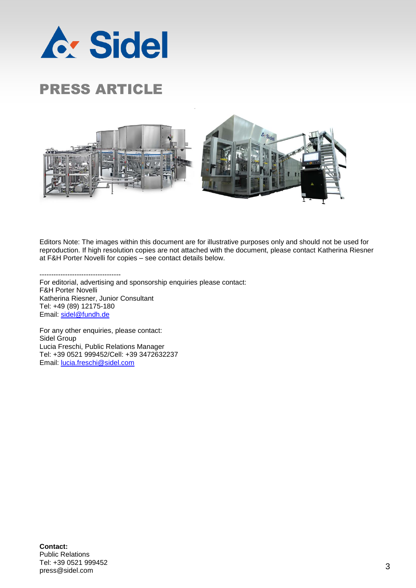



Editors Note: The images within this document are for illustrative purposes only and should not be used for reproduction. If high resolution copies are not attached with the document, please contact Katherina Riesner at F&H Porter Novelli for copies – see contact details below.

----------------------------------- For editorial, advertising and sponsorship enquiries please contact: F&H Porter Novelli Katherina Riesner, Junior Consultant Tel: +49 (89) 12175-180 Email: [sidel@fundh.de](mailto:sidel@fundh.de)

For any other enquiries, please contact: Sidel Group Lucia Freschi, Public Relations Manager Tel: +39 0521 999452/Cell: +39 3472632237 Email: [lucia.freschi@sidel.com](mailto:lucia.freschi@sidel.com)